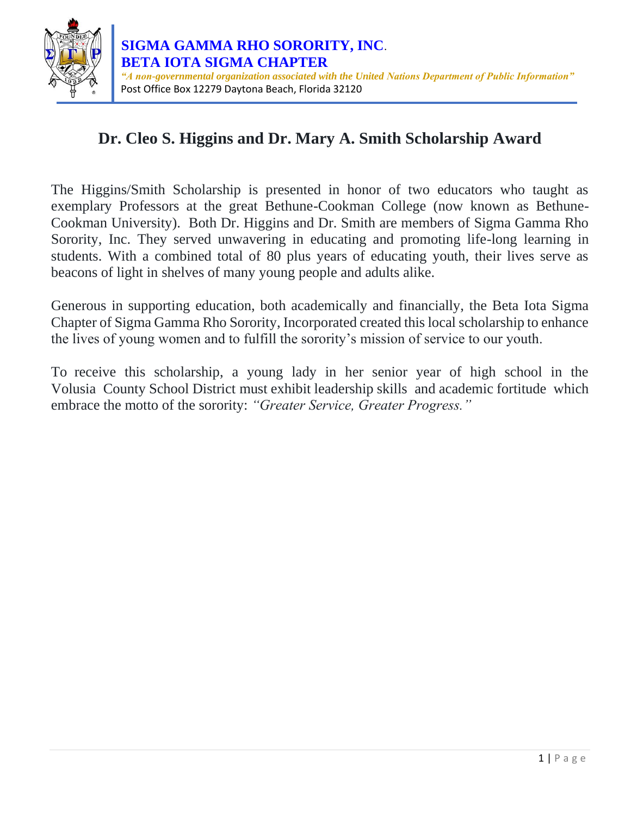

# **Dr. Cleo S. Higgins and Dr. Mary A. Smith Scholarship Award**

The Higgins/Smith Scholarship is presented in honor of two educators who taught as exemplary Professors at the great Bethune-Cookman College (now known as Bethune-Cookman University). Both Dr. Higgins and Dr. Smith are members of Sigma Gamma Rho Sorority, Inc. They served unwavering in educating and promoting life-long learning in students. With a combined total of 80 plus years of educating youth, their lives serve as beacons of light in shelves of many young people and adults alike.

Generous in supporting education, both academically and financially, the Beta Iota Sigma Chapter of Sigma Gamma Rho Sorority, Incorporated created this local scholarship to enhance the lives of young women and to fulfill the sorority's mission of service to our youth.

To receive this scholarship, a young lady in her senior year of high school in the Volusia County School District must exhibit leadership skills and academic fortitude which embrace the motto of the sorority: *"Greater Service, Greater Progress."*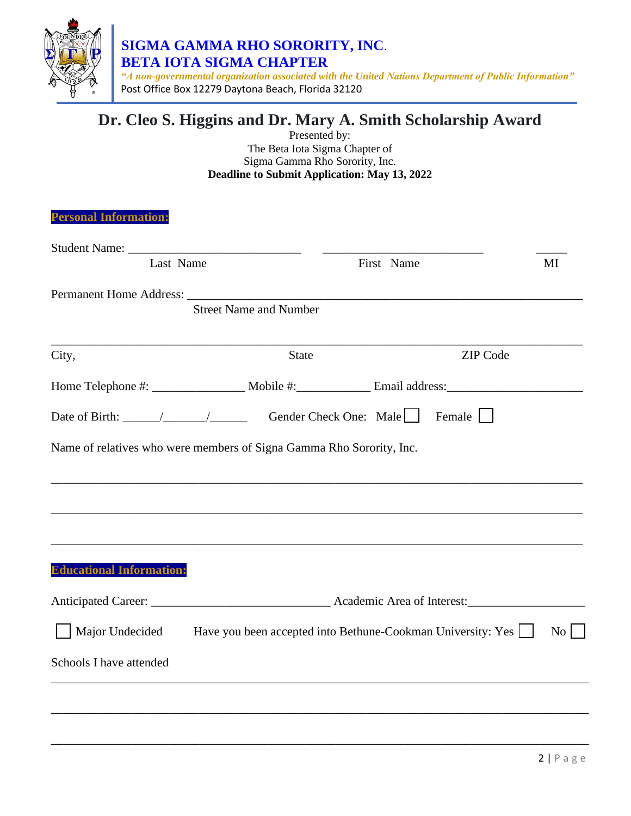

 *"A non-governmental organization associated with the United Nations Department of Public Information"* Post Office Box 12279 Daytona Beach, Florida 32120

# **Dr. Cleo S. Higgins and Dr. Mary A. Smith Scholarship Award**

Presented by: The Beta Iota Sigma Chapter of Sigma Gamma Rho Sorority, Inc. **Deadline to Submit Application: May 13, 2022**

| Last Name                                                  |                                                                                                                                                                                                                                                                                                                                                                                                                       | First Name |                 | MI        |
|------------------------------------------------------------|-----------------------------------------------------------------------------------------------------------------------------------------------------------------------------------------------------------------------------------------------------------------------------------------------------------------------------------------------------------------------------------------------------------------------|------------|-----------------|-----------|
|                                                            |                                                                                                                                                                                                                                                                                                                                                                                                                       |            |                 |           |
|                                                            | <b>Street Name and Number</b>                                                                                                                                                                                                                                                                                                                                                                                         |            |                 |           |
| City,                                                      | <b>State</b>                                                                                                                                                                                                                                                                                                                                                                                                          |            | <b>ZIP</b> Code |           |
|                                                            |                                                                                                                                                                                                                                                                                                                                                                                                                       |            |                 |           |
|                                                            | Date of Birth: $\frac{1}{\sqrt{1-\frac{1}{\sqrt{1-\frac{1}{\sqrt{1-\frac{1}{\sqrt{1-\frac{1}{\sqrt{1-\frac{1}{\sqrt{1-\frac{1}{\sqrt{1-\frac{1}{\sqrt{1-\frac{1}{\sqrt{1-\frac{1}{\sqrt{1-\frac{1}{\sqrt{1-\frac{1}{\sqrt{1-\frac{1}{\sqrt{1-\frac{1}{\sqrt{1-\frac{1}{\sqrt{1-\frac{1}{\sqrt{1-\frac{1}{\sqrt{1-\frac{1}{\sqrt{1-\frac{1}{\sqrt{1-\frac{1}{\sqrt{1-\frac{1}{\sqrt{1-\frac{1}{\sqrt{1-\frac{1}{\sqrt$ |            | Female          |           |
|                                                            |                                                                                                                                                                                                                                                                                                                                                                                                                       |            |                 |           |
|                                                            | Name of relatives who were members of Signa Gamma Rho Sorority, Inc.                                                                                                                                                                                                                                                                                                                                                  |            |                 |           |
|                                                            |                                                                                                                                                                                                                                                                                                                                                                                                                       |            |                 |           |
|                                                            |                                                                                                                                                                                                                                                                                                                                                                                                                       |            |                 |           |
|                                                            |                                                                                                                                                                                                                                                                                                                                                                                                                       |            |                 |           |
|                                                            |                                                                                                                                                                                                                                                                                                                                                                                                                       |            |                 |           |
|                                                            |                                                                                                                                                                                                                                                                                                                                                                                                                       |            |                 |           |
|                                                            |                                                                                                                                                                                                                                                                                                                                                                                                                       |            |                 |           |
| Major Undecided                                            | Have you been accepted into Bethune-Cookman University: Yes                                                                                                                                                                                                                                                                                                                                                           |            |                 | $\rm{No}$ |
| <b>Educational Information:</b><br>Schools I have attended |                                                                                                                                                                                                                                                                                                                                                                                                                       |            |                 |           |
|                                                            |                                                                                                                                                                                                                                                                                                                                                                                                                       |            |                 |           |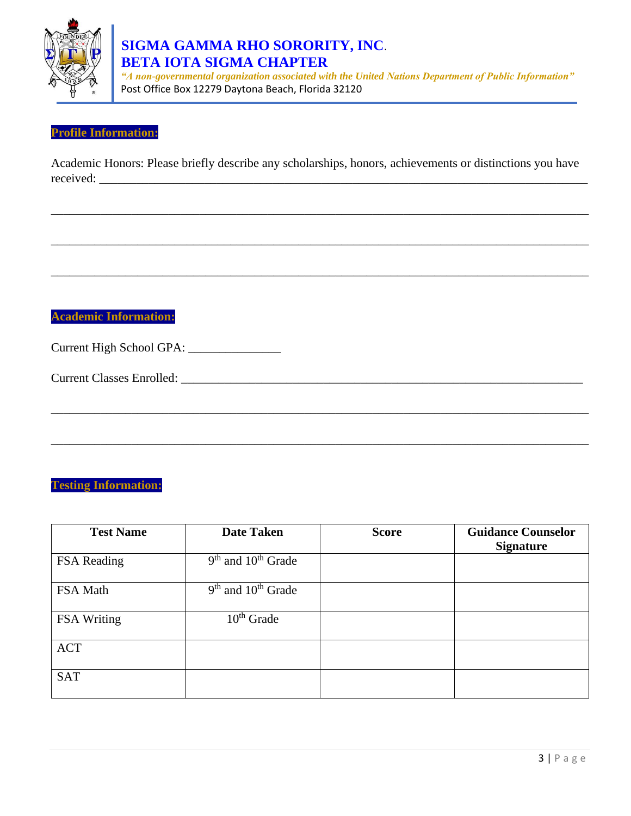

# **SIGMA GAMMA RHO SORORITY, INC**.  **BETA IOTA SIGMA CHAPTER**

 *"A non-governmental organization associated with the United Nations Department of Public Information"* Post Office Box 12279 Daytona Beach, Florida 32120

### **Profile Information:**

Academic Honors: Please briefly describe any scholarships, honors, achievements or distinctions you have received:

\_\_\_\_\_\_\_\_\_\_\_\_\_\_\_\_\_\_\_\_\_\_\_\_\_\_\_\_\_\_\_\_\_\_\_\_\_\_\_\_\_\_\_\_\_\_\_\_\_\_\_\_\_\_\_\_\_\_\_\_\_\_\_\_\_\_\_\_\_\_\_\_\_\_\_\_\_\_\_\_\_\_\_\_\_\_\_

\_\_\_\_\_\_\_\_\_\_\_\_\_\_\_\_\_\_\_\_\_\_\_\_\_\_\_\_\_\_\_\_\_\_\_\_\_\_\_\_\_\_\_\_\_\_\_\_\_\_\_\_\_\_\_\_\_\_\_\_\_\_\_\_\_\_\_\_\_\_\_\_\_\_\_\_\_\_\_\_\_\_\_\_\_\_\_

\_\_\_\_\_\_\_\_\_\_\_\_\_\_\_\_\_\_\_\_\_\_\_\_\_\_\_\_\_\_\_\_\_\_\_\_\_\_\_\_\_\_\_\_\_\_\_\_\_\_\_\_\_\_\_\_\_\_\_\_\_\_\_\_\_\_\_\_\_\_\_\_\_\_\_\_\_\_\_\_\_\_\_\_\_\_\_

\_\_\_\_\_\_\_\_\_\_\_\_\_\_\_\_\_\_\_\_\_\_\_\_\_\_\_\_\_\_\_\_\_\_\_\_\_\_\_\_\_\_\_\_\_\_\_\_\_\_\_\_\_\_\_\_\_\_\_\_\_\_\_\_\_\_\_\_\_\_\_\_\_\_\_\_\_\_\_\_\_\_\_\_\_\_\_

\_\_\_\_\_\_\_\_\_\_\_\_\_\_\_\_\_\_\_\_\_\_\_\_\_\_\_\_\_\_\_\_\_\_\_\_\_\_\_\_\_\_\_\_\_\_\_\_\_\_\_\_\_\_\_\_\_\_\_\_\_\_\_\_\_\_\_\_\_\_\_\_\_\_\_\_\_\_\_\_\_\_\_\_\_\_\_

# **Academic Information:**

Current High School GPA: \_\_\_\_\_\_\_\_\_\_\_\_\_\_\_

Current Classes Enrolled: \_\_\_\_\_\_\_\_\_\_\_\_\_\_\_\_\_\_\_\_\_\_\_\_\_\_\_\_\_\_\_\_\_\_\_\_\_\_\_\_\_\_\_\_\_\_\_\_\_\_\_\_\_\_\_\_\_\_\_\_\_\_\_\_\_

## **Testing Information:**

| <b>Test Name</b> | <b>Date Taken</b>      | <b>Score</b> | <b>Guidance Counselor</b><br><b>Signature</b> |
|------------------|------------------------|--------------|-----------------------------------------------|
| FSA Reading      | $9th$ and $10th$ Grade |              |                                               |
| FSA Math         | $9th$ and $10th$ Grade |              |                                               |
| FSA Writing      | $10th$ Grade           |              |                                               |
| <b>ACT</b>       |                        |              |                                               |
| <b>SAT</b>       |                        |              |                                               |